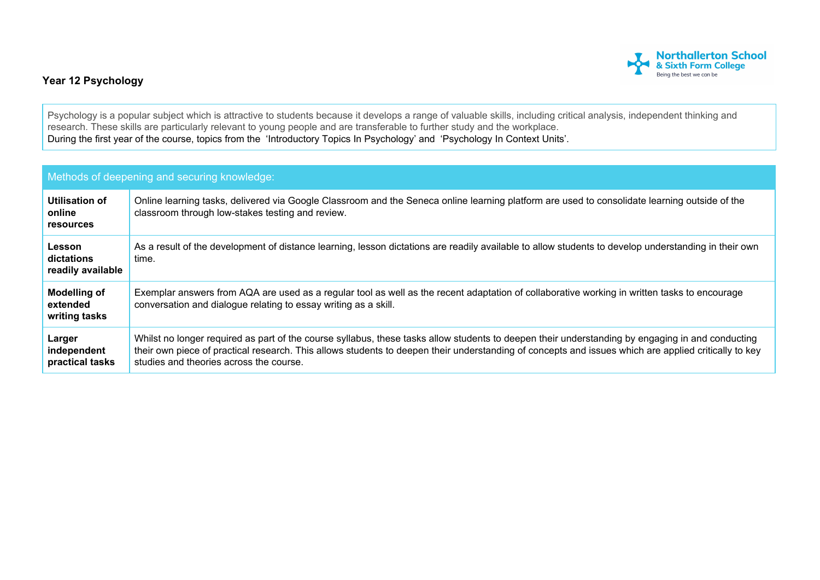

## **Year 12 Psychology**

Psychology is a popular subject which is attractive to students because it develops a range of valuable skills, including critical analysis, independent thinking and research. These skills are particularly relevant to young people and are transferable to further study and the workplace. During the first year of the course, topics from the 'Introductory Topics In Psychology' and 'Psychology In Context Units'.

| Methods of deepening and securing knowledge:     |                                                                                                                                                                                                                                                                                                                                                     |  |  |
|--------------------------------------------------|-----------------------------------------------------------------------------------------------------------------------------------------------------------------------------------------------------------------------------------------------------------------------------------------------------------------------------------------------------|--|--|
| Utilisation of<br>online<br><b>resources</b>     | Online learning tasks, delivered via Google Classroom and the Seneca online learning platform are used to consolidate learning outside of the<br>classroom through low-stakes testing and review.                                                                                                                                                   |  |  |
| Lesson<br>dictations<br>readily available        | As a result of the development of distance learning, lesson dictations are readily available to allow students to develop understanding in their own<br>time.                                                                                                                                                                                       |  |  |
| <b>Modelling of</b><br>extended<br>writing tasks | Exemplar answers from AQA are used as a regular tool as well as the recent adaptation of collaborative working in written tasks to encourage<br>conversation and dialogue relating to essay writing as a skill.                                                                                                                                     |  |  |
| Larger<br>independent<br>practical tasks         | Whilst no longer required as part of the course syllabus, these tasks allow students to deepen their understanding by engaging in and conducting<br>their own piece of practical research. This allows students to deepen their understanding of concepts and issues which are applied critically to key<br>studies and theories across the course. |  |  |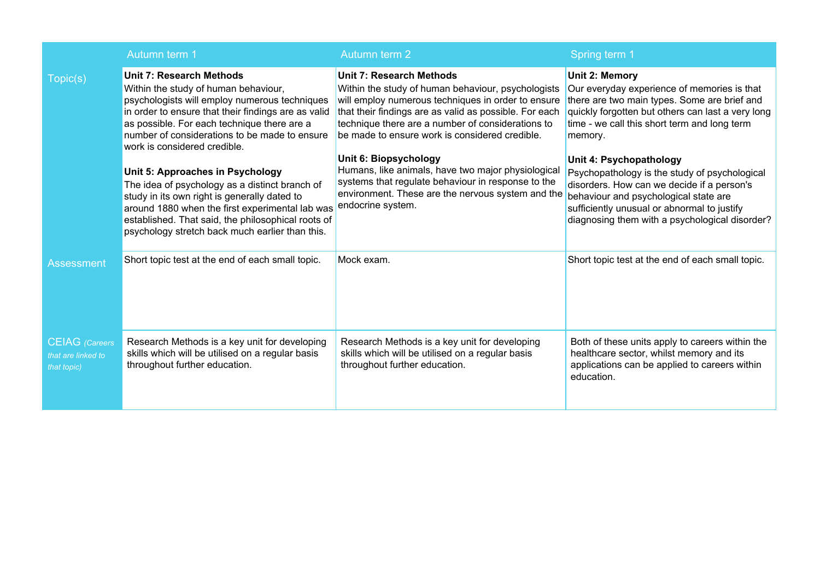|                                                            | Autumn term 1                                                                                                                                                                                                                                                                                                   | Autumn term 2                                                                                                                                                                                                                                                                                                | Spring term 1                                                                                                                                                                                                                                                    |
|------------------------------------------------------------|-----------------------------------------------------------------------------------------------------------------------------------------------------------------------------------------------------------------------------------------------------------------------------------------------------------------|--------------------------------------------------------------------------------------------------------------------------------------------------------------------------------------------------------------------------------------------------------------------------------------------------------------|------------------------------------------------------------------------------------------------------------------------------------------------------------------------------------------------------------------------------------------------------------------|
| Topic(s)                                                   | <b>Unit 7: Research Methods</b><br>Within the study of human behaviour,<br>psychologists will employ numerous techniques<br>in order to ensure that their findings are as valid<br>as possible. For each technique there are a<br>number of considerations to be made to ensure<br>work is considered credible. | <b>Unit 7: Research Methods</b><br>Within the study of human behaviour, psychologists<br>will employ numerous techniques in order to ensure<br>that their findings are as valid as possible. For each<br>technique there are a number of considerations to<br>be made to ensure work is considered credible. | Unit 2: Memory<br>Our everyday experience of memories is that<br>there are two main types. Some are brief and<br>quickly forgotten but others can last a very long<br>time - we call this short term and long term<br>memory.                                    |
|                                                            | Unit 5: Approaches in Psychology<br>The idea of psychology as a distinct branch of<br>study in its own right is generally dated to<br>around 1880 when the first experimental lab was<br>established. That said, the philosophical roots of<br>psychology stretch back much earlier than this.                  | Unit 6: Biopsychology<br>Humans, like animals, have two major physiological<br>systems that regulate behaviour in response to the<br>environment. These are the nervous system and the<br>endocrine system.                                                                                                  | Unit 4: Psychopathology<br>Psychopathology is the study of psychological<br>disorders. How can we decide if a person's<br>behaviour and psychological state are<br>sufficiently unusual or abnormal to justify<br>diagnosing them with a psychological disorder? |
| <b>Assessment</b>                                          | Short topic test at the end of each small topic.                                                                                                                                                                                                                                                                | Mock exam.                                                                                                                                                                                                                                                                                                   | Short topic test at the end of each small topic.                                                                                                                                                                                                                 |
| <b>CEIAG</b> (Careers<br>that are linked to<br>that topic) | Research Methods is a key unit for developing<br>skills which will be utilised on a regular basis<br>throughout further education.                                                                                                                                                                              | Research Methods is a key unit for developing<br>skills which will be utilised on a regular basis<br>throughout further education.                                                                                                                                                                           | Both of these units apply to careers within the<br>healthcare sector, whilst memory and its<br>applications can be applied to careers within<br>education.                                                                                                       |